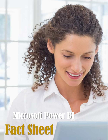## Microsoft Power BI Fact Sheet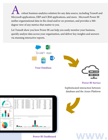robust business analytics solution for any data source, including Tensoft and Microsoft applications, ERP and CRM applications, and more. Microsoft Power BI unifies organizational data in the cloud and/or on-premises, and provides a 360 degree view of any metrics that matter to you.

Let Tensoft show you how Power BI can help you easily monitor your business, quickly analyze data across your organization, and deliver key insights and answers via stunning interactive reports.





**Power BI Service** 

**www.**

Sophisticated interaction between database and the Azure Platform



**Power BI Dashboard**

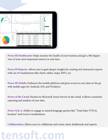

**Power BI Dashboards:** Helps monitor the health of your business and get a 360-degree view of your most important metrics in real-time.

**Power BI Reports:** Allows user to gain deeper insights by creating rich interactive reports with use of visualizations like charts, tables, maps, KPI's, etc.

Power BI Mobile: Embraces the mobile platform and gives access to your data on the go with mobile apps for Android, iOS, and Windows.

**Power of the Cloud:** Hosted on Microsoft Azure Servers in the cloud, it allows consistent reporting and analysis of your data.

**Power Q & A:** Ability to engage in natural language queries like "Total Sales YTD by location" and receive visualizations.

**Collaboration:** Allows users to collaborate and create, share dashboards and reports.

**tensoft.com**